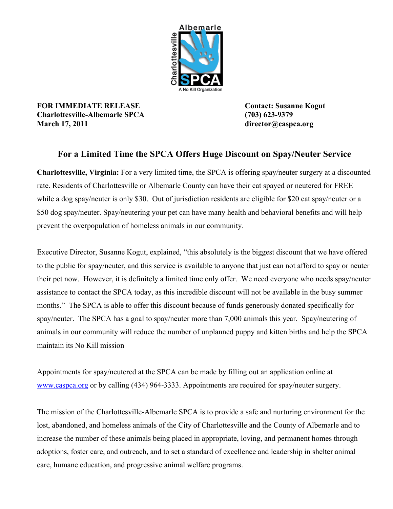

**FOR IMMEDIATE RELEASE Contact: Susanne Kogut Charlottesville-Albemarle SPCA (703) 623-9379 March 17, 2011 director@caspca.org**

## **For a Limited Time the SPCA Offers Huge Discount on Spay/Neuter Service**

**Charlottesville, Virginia:** For a very limited time, the SPCA is offering spay/neuter surgery at a discounted rate. Residents of Charlottesville or Albemarle County can have their cat spayed or neutered for FREE while a dog spay/neuter is only \$30. Out of jurisdiction residents are eligible for \$20 cat spay/neuter or a \$50 dog spay/neuter. Spay/neutering your pet can have many health and behavioral benefits and will help prevent the overpopulation of homeless animals in our community.

Executive Director, Susanne Kogut, explained, "this absolutely is the biggest discount that we have offered to the public for spay/neuter, and this service is available to anyone that just can not afford to spay or neuter their pet now. However, it is definitely a limited time only offer. We need everyone who needs spay/neuter assistance to contact the SPCA today, as this incredible discount will not be available in the busy summer months." The SPCA is able to offer this discount because of funds generously donated specifically for spay/neuter. The SPCA has a goal to spay/neuter more than 7,000 animals this year. Spay/neutering of animals in our community will reduce the number of unplanned puppy and kitten births and help the SPCA maintain its No Kill mission

Appointments for spay/neutered at the SPCA can be made by filling out an application online at [www.caspca.org](http://www.caspca.org) or by calling (434) 964-3333. Appointments are required for spay/neuter surgery.

The mission of the Charlottesville-Albemarle SPCA is to provide a safe and nurturing environment for the lost, abandoned, and homeless animals of the City of Charlottesville and the County of Albemarle and to increase the number of these animals being placed in appropriate, loving, and permanent homes through adoptions, foster care, and outreach, and to set a standard of excellence and leadership in shelter animal care, humane education, and progressive animal welfare programs.